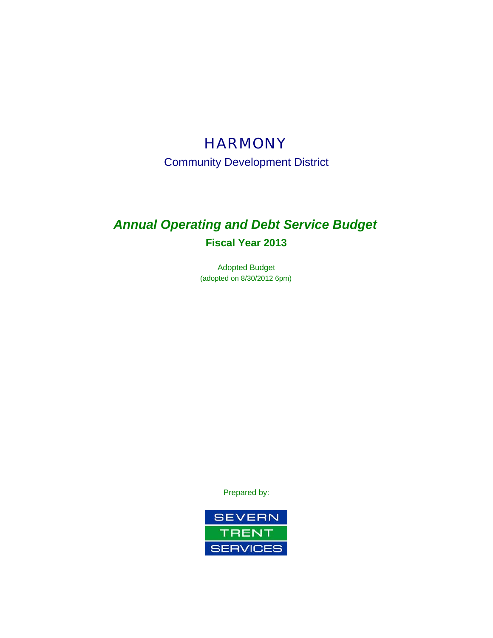# **HARMONY**

Community Development District

# *Annual Operating and Debt Service Budget* **Fiscal Year 2013**

Adopted Budget (adopted on 8/30/2012 6pm)

Prepared by:

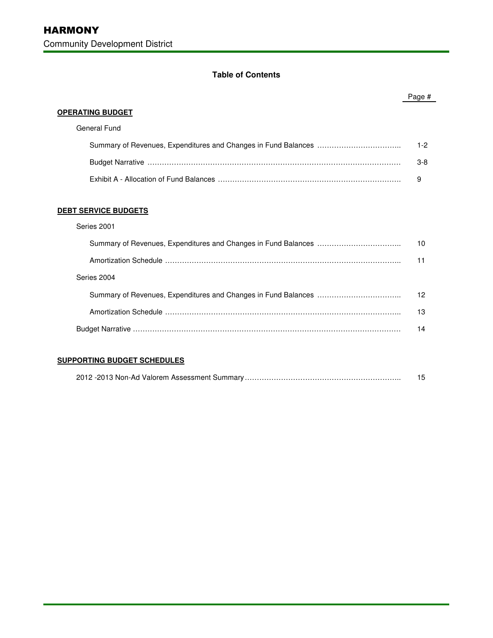# **Table of Contents**

|                             | Page #  |
|-----------------------------|---------|
| <b>OPERATING BUDGET</b>     |         |
| General Fund                |         |
|                             | $1 - 2$ |
|                             | $3 - 8$ |
|                             | 9       |
|                             |         |
| <b>DEBT SERVICE BUDGETS</b> |         |
| Series 2001                 |         |
|                             | 10      |
|                             | 11      |
| Series 2004                 |         |
|                             | 12      |
|                             | 13      |
|                             | 14      |

# **SUPPORTING BUDGET SCHEDULES**

|--|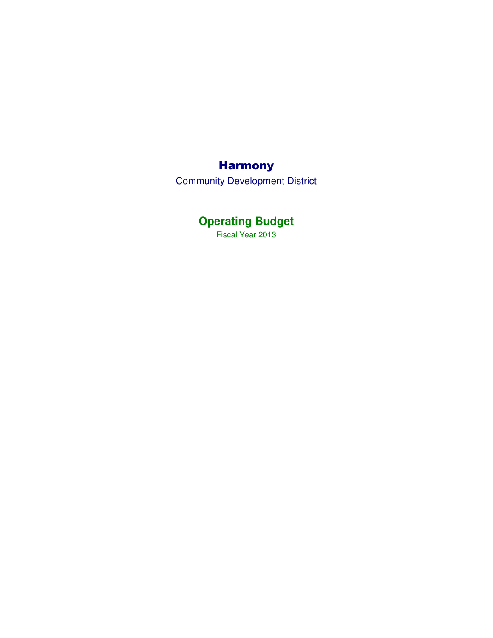# Harmony

Community Development District

# **Operating Budget**

Fiscal Year 2013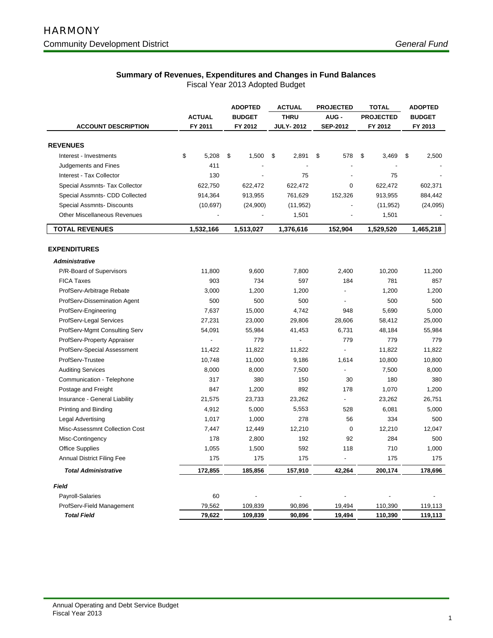# **Summary of Revenues, Expenditures and Changes in Fund Balances**

| <b>ACTUAL</b><br><b>BUDGET</b><br><b>THRU</b><br>AUG-<br><b>PROJECTED</b><br><b>BUDGET</b><br><b>ACCOUNT DESCRIPTION</b><br>FY 2011<br>FY 2012<br><b>JULY-2012</b><br><b>SEP-2012</b><br>FY 2012<br>FY 2013<br><b>REVENUES</b><br>\$<br>5,208<br>\$<br>1,500<br>\$<br>2,891<br>\$<br>3,469<br>\$<br>2,500<br>Interest - Investments<br>\$<br>578<br>411<br>Judgements and Fines<br>75<br>130<br>75<br>Interest - Tax Collector<br>Special Assmnts- Tax Collector<br>622,750<br>622,472<br>622,472<br>622,472<br>602,371<br>0<br>Special Assmnts- CDD Collected<br>914,364<br>913,955<br>761,629<br>152,326<br>913,955<br>884,442<br>Special Assmnts- Discounts<br>(10, 697)<br>(24,900)<br>(11, 952)<br>(24,095)<br>(11, 952)<br><b>Other Miscellaneous Revenues</b><br>1,501<br>1,501<br>$\overline{a}$<br>1,532,166<br>1,529,520<br>1,465,218<br><b>TOTAL REVENUES</b><br>1,513,027<br>1,376,616<br>152,904<br><b>EXPENDITURES</b><br><b>Administrative</b><br>P/R-Board of Supervisors<br>11,800<br>9,600<br>7,800<br>2,400<br>10,200<br>11,200 |                   |     | <b>ADOPTED</b> | <b>ACTUAL</b> | <b>PROJECTED</b> | <b>TOTAL</b> | <b>ADOPTED</b> |
|----------------------------------------------------------------------------------------------------------------------------------------------------------------------------------------------------------------------------------------------------------------------------------------------------------------------------------------------------------------------------------------------------------------------------------------------------------------------------------------------------------------------------------------------------------------------------------------------------------------------------------------------------------------------------------------------------------------------------------------------------------------------------------------------------------------------------------------------------------------------------------------------------------------------------------------------------------------------------------------------------------------------------------------------------|-------------------|-----|----------------|---------------|------------------|--------------|----------------|
|                                                                                                                                                                                                                                                                                                                                                                                                                                                                                                                                                                                                                                                                                                                                                                                                                                                                                                                                                                                                                                                    |                   |     |                |               |                  |              |                |
|                                                                                                                                                                                                                                                                                                                                                                                                                                                                                                                                                                                                                                                                                                                                                                                                                                                                                                                                                                                                                                                    |                   |     |                |               |                  |              |                |
|                                                                                                                                                                                                                                                                                                                                                                                                                                                                                                                                                                                                                                                                                                                                                                                                                                                                                                                                                                                                                                                    |                   |     |                |               |                  |              |                |
|                                                                                                                                                                                                                                                                                                                                                                                                                                                                                                                                                                                                                                                                                                                                                                                                                                                                                                                                                                                                                                                    |                   |     |                |               |                  |              |                |
|                                                                                                                                                                                                                                                                                                                                                                                                                                                                                                                                                                                                                                                                                                                                                                                                                                                                                                                                                                                                                                                    |                   |     |                |               |                  |              |                |
|                                                                                                                                                                                                                                                                                                                                                                                                                                                                                                                                                                                                                                                                                                                                                                                                                                                                                                                                                                                                                                                    |                   |     |                |               |                  |              |                |
|                                                                                                                                                                                                                                                                                                                                                                                                                                                                                                                                                                                                                                                                                                                                                                                                                                                                                                                                                                                                                                                    |                   |     |                |               |                  |              |                |
|                                                                                                                                                                                                                                                                                                                                                                                                                                                                                                                                                                                                                                                                                                                                                                                                                                                                                                                                                                                                                                                    |                   |     |                |               |                  |              |                |
|                                                                                                                                                                                                                                                                                                                                                                                                                                                                                                                                                                                                                                                                                                                                                                                                                                                                                                                                                                                                                                                    |                   |     |                |               |                  |              |                |
|                                                                                                                                                                                                                                                                                                                                                                                                                                                                                                                                                                                                                                                                                                                                                                                                                                                                                                                                                                                                                                                    |                   |     |                |               |                  |              |                |
|                                                                                                                                                                                                                                                                                                                                                                                                                                                                                                                                                                                                                                                                                                                                                                                                                                                                                                                                                                                                                                                    |                   |     |                |               |                  |              |                |
|                                                                                                                                                                                                                                                                                                                                                                                                                                                                                                                                                                                                                                                                                                                                                                                                                                                                                                                                                                                                                                                    |                   |     |                |               |                  |              |                |
|                                                                                                                                                                                                                                                                                                                                                                                                                                                                                                                                                                                                                                                                                                                                                                                                                                                                                                                                                                                                                                                    |                   |     |                |               |                  |              |                |
|                                                                                                                                                                                                                                                                                                                                                                                                                                                                                                                                                                                                                                                                                                                                                                                                                                                                                                                                                                                                                                                    |                   |     |                |               |                  |              |                |
|                                                                                                                                                                                                                                                                                                                                                                                                                                                                                                                                                                                                                                                                                                                                                                                                                                                                                                                                                                                                                                                    |                   |     |                |               |                  |              |                |
|                                                                                                                                                                                                                                                                                                                                                                                                                                                                                                                                                                                                                                                                                                                                                                                                                                                                                                                                                                                                                                                    |                   |     |                |               |                  |              |                |
|                                                                                                                                                                                                                                                                                                                                                                                                                                                                                                                                                                                                                                                                                                                                                                                                                                                                                                                                                                                                                                                    | <b>FICA Taxes</b> | 903 | 734            | 597           | 184              | 781          | 857            |
| ProfServ-Arbitrage Rebate<br>3,000<br>1,200<br>1,200<br>1,200<br>1,200                                                                                                                                                                                                                                                                                                                                                                                                                                                                                                                                                                                                                                                                                                                                                                                                                                                                                                                                                                             |                   |     |                |               |                  |              |                |
| 500<br>500<br>500<br>500<br>500<br>ProfServ-Dissemination Agent                                                                                                                                                                                                                                                                                                                                                                                                                                                                                                                                                                                                                                                                                                                                                                                                                                                                                                                                                                                    |                   |     |                |               |                  |              |                |
| 7,637<br>15,000<br>4,742<br>5,690<br>5,000<br>ProfServ-Engineering<br>948                                                                                                                                                                                                                                                                                                                                                                                                                                                                                                                                                                                                                                                                                                                                                                                                                                                                                                                                                                          |                   |     |                |               |                  |              |                |
| ProfServ-Legal Services<br>27,231<br>23,000<br>29,806<br>28,606<br>58,412<br>25,000                                                                                                                                                                                                                                                                                                                                                                                                                                                                                                                                                                                                                                                                                                                                                                                                                                                                                                                                                                |                   |     |                |               |                  |              |                |
| ProfServ-Mgmt Consulting Serv<br>54,091<br>55,984<br>41,453<br>6,731<br>48,184<br>55,984                                                                                                                                                                                                                                                                                                                                                                                                                                                                                                                                                                                                                                                                                                                                                                                                                                                                                                                                                           |                   |     |                |               |                  |              |                |
| 779<br>779<br>779<br>ProfServ-Property Appraiser<br>$\blacksquare$<br>779<br>÷,                                                                                                                                                                                                                                                                                                                                                                                                                                                                                                                                                                                                                                                                                                                                                                                                                                                                                                                                                                    |                   |     |                |               |                  |              |                |
| 11,822<br>11,822<br>11,822<br>ProfServ-Special Assessment<br>11,422<br>11,822                                                                                                                                                                                                                                                                                                                                                                                                                                                                                                                                                                                                                                                                                                                                                                                                                                                                                                                                                                      |                   |     |                |               |                  |              |                |
| ProfServ-Trustee<br>10,748<br>11,000<br>9,186<br>1,614<br>10,800<br>10,800                                                                                                                                                                                                                                                                                                                                                                                                                                                                                                                                                                                                                                                                                                                                                                                                                                                                                                                                                                         |                   |     |                |               |                  |              |                |
| <b>Auditing Services</b><br>8,000<br>8,000<br>7,500<br>7,500<br>8,000                                                                                                                                                                                                                                                                                                                                                                                                                                                                                                                                                                                                                                                                                                                                                                                                                                                                                                                                                                              |                   |     |                |               |                  |              |                |
| Communication - Telephone<br>317<br>380<br>150<br>30<br>180<br>380                                                                                                                                                                                                                                                                                                                                                                                                                                                                                                                                                                                                                                                                                                                                                                                                                                                                                                                                                                                 |                   |     |                |               |                  |              |                |
| Postage and Freight<br>847<br>1,200<br>892<br>178<br>1,070<br>1,200                                                                                                                                                                                                                                                                                                                                                                                                                                                                                                                                                                                                                                                                                                                                                                                                                                                                                                                                                                                |                   |     |                |               |                  |              |                |
| 26,751<br>Insurance - General Liability<br>21,575<br>23,733<br>23,262<br>23,262                                                                                                                                                                                                                                                                                                                                                                                                                                                                                                                                                                                                                                                                                                                                                                                                                                                                                                                                                                    |                   |     |                |               |                  |              |                |
| 4,912<br>5,000<br>5,553<br>528<br>6,081<br>5,000<br>Printing and Binding                                                                                                                                                                                                                                                                                                                                                                                                                                                                                                                                                                                                                                                                                                                                                                                                                                                                                                                                                                           |                   |     |                |               |                  |              |                |
| 1,017<br>1,000<br>278<br>56<br>334<br>500<br>Legal Advertising                                                                                                                                                                                                                                                                                                                                                                                                                                                                                                                                                                                                                                                                                                                                                                                                                                                                                                                                                                                     |                   |     |                |               |                  |              |                |
| 12,210<br>12,047<br>Misc-Assessmnt Collection Cost<br>7,447<br>$\mathbf 0$<br>12,210<br>12,449                                                                                                                                                                                                                                                                                                                                                                                                                                                                                                                                                                                                                                                                                                                                                                                                                                                                                                                                                     |                   |     |                |               |                  |              |                |
| 500<br>Misc-Contingency<br>178<br>2,800<br>192<br>92<br>284                                                                                                                                                                                                                                                                                                                                                                                                                                                                                                                                                                                                                                                                                                                                                                                                                                                                                                                                                                                        |                   |     |                |               |                  |              |                |
| <b>Office Supplies</b><br>1,055<br>1,500<br>592<br>118<br>710<br>1,000                                                                                                                                                                                                                                                                                                                                                                                                                                                                                                                                                                                                                                                                                                                                                                                                                                                                                                                                                                             |                   |     |                |               |                  |              |                |
| 175<br>Annual District Filing Fee<br>175<br>175<br>175<br>175                                                                                                                                                                                                                                                                                                                                                                                                                                                                                                                                                                                                                                                                                                                                                                                                                                                                                                                                                                                      |                   |     |                |               |                  |              |                |
| 172,855<br>185,856<br>42,264<br>200,174<br>178,696<br><b>Total Administrative</b><br>157,910                                                                                                                                                                                                                                                                                                                                                                                                                                                                                                                                                                                                                                                                                                                                                                                                                                                                                                                                                       |                   |     |                |               |                  |              |                |
| Field                                                                                                                                                                                                                                                                                                                                                                                                                                                                                                                                                                                                                                                                                                                                                                                                                                                                                                                                                                                                                                              |                   |     |                |               |                  |              |                |
| 60<br>Payroll-Salaries                                                                                                                                                                                                                                                                                                                                                                                                                                                                                                                                                                                                                                                                                                                                                                                                                                                                                                                                                                                                                             |                   |     |                |               |                  |              |                |
| ProfServ-Field Management<br>79,562<br>109,839<br>90,896<br>19,494<br>110,390<br>119,113                                                                                                                                                                                                                                                                                                                                                                                                                                                                                                                                                                                                                                                                                                                                                                                                                                                                                                                                                           |                   |     |                |               |                  |              |                |
| 79,622<br><b>Total Field</b><br>109,839<br>90,896<br>19,494<br>110,390<br>119,113                                                                                                                                                                                                                                                                                                                                                                                                                                                                                                                                                                                                                                                                                                                                                                                                                                                                                                                                                                  |                   |     |                |               |                  |              |                |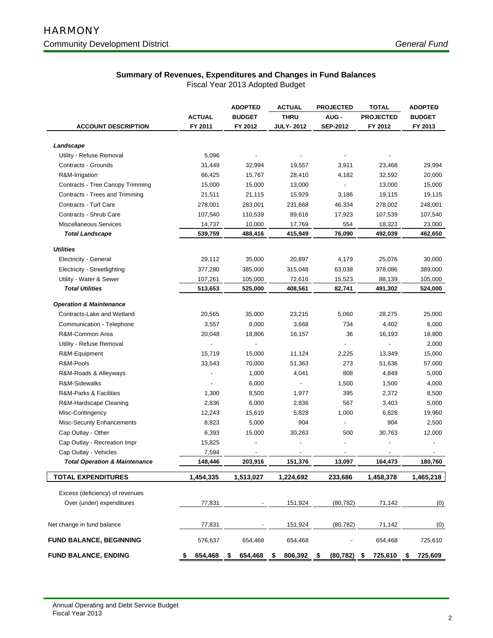# **Summary of Revenues, Expenditures and Changes in Fund Balances**

|                                                    |                   | <b>ADOPTED</b>    | <b>ACTUAL</b>            | <b>PROJECTED</b>     | <b>TOTAL</b>     | <b>ADOPTED</b>    |
|----------------------------------------------------|-------------------|-------------------|--------------------------|----------------------|------------------|-------------------|
|                                                    | <b>ACTUAL</b>     | <b>BUDGET</b>     | <b>THRU</b>              | <b>AUG -</b>         | <b>PROJECTED</b> | <b>BUDGET</b>     |
| <b>ACCOUNT DESCRIPTION</b>                         | FY 2011           | FY 2012           | <b>JULY-2012</b>         | <b>SEP-2012</b>      | FY 2012          | FY 2013           |
| Landscape                                          |                   |                   |                          |                      |                  |                   |
| Utility - Refuse Removal                           | 5,096             |                   |                          |                      |                  |                   |
| Contracts - Grounds                                | 31,449            | 32,994            | 19,557                   | 3,911                | 23,468           | 29,994            |
|                                                    | 66,425            | 15,767            | 28,410                   | 4,182                | 32,592           | 20,000            |
| R&M-Irrigation<br>Contracts - Tree Canopy Trimming | 15,000            | 15,000            | 13,000                   |                      | 13,000           | 15,000            |
| Contracts - Trees and Trimming                     |                   |                   | 15,929                   | 3,186                | 19,115           |                   |
| Contracts - Turf Care                              | 21,511<br>278,001 | 21,115<br>283,001 | 231,668                  | 46,334               | 278,002          | 19,115<br>248,001 |
| Contracts - Shrub Care                             | 107,540           | 110,539           | 89,616                   | 17,923               | 107,539          | 107,540           |
| <b>Miscellaneous Services</b>                      | 14,737            | 10,000            |                          | 554                  | 18,323           | 23,000            |
| <b>Total Landscape</b>                             | 539,759           | 488,416           | 17,769<br>415,949        | 76,090               | 492,039          | 462,650           |
|                                                    |                   |                   |                          |                      |                  |                   |
| <b>Utilities</b>                                   |                   |                   |                          |                      |                  |                   |
| Electricity - General                              | 29,112            | 35,000            | 20,897                   | 4,179                | 25,076           | 30,000            |
| Electricity - Streetlighting                       | 377,280           | 385,000           | 315,048                  | 63,038               | 378,086          | 389,000           |
| Utility - Water & Sewer                            | 107,261           | 105,000           | 72,616                   | 15,523               | 88,139           | 105,000           |
| <b>Total Utilities</b>                             | 513,653           | 525,000           | 408,561                  | 82,741               | 491,302          | 524,000           |
| <b>Operation &amp; Maintenance</b>                 |                   |                   |                          |                      |                  |                   |
| Contracts-Lake and Wetland                         | 20,565            | 35,000            | 23,215                   | 5,060                | 28,275           | 25,000            |
| Communication - Telephone                          | 3,557             | 8,000             | 3,668                    | 734                  | 4,402            | 6,000             |
| R&M-Common Area                                    | 20,048            | 18,806            | 16,157                   | 36                   | 16,193           | 18,800            |
| Utility - Refuse Removal                           |                   |                   |                          |                      |                  | 2,000             |
| R&M-Equipment                                      | 15,719            | 15,000            | 11,124                   | 2,225                | 13,349           | 15,000            |
| R&M-Pools                                          | 33,543            | 70,000            | 51,363                   | 273                  | 51,636           | 57,000            |
| R&M-Roads & Alleyways                              |                   | 1,000             | 4,041                    | 808                  | 4,849            | 5,000             |
| R&M-Sidewalks                                      |                   | 6,000             | $\overline{\phantom{a}}$ | 1,500                | 1,500            | 4,000             |
| R&M-Parks & Facilities                             | 1,300             | 8,500             | 1,977                    | 395                  | 2,372            | 8,500             |
| R&M-Hardscape Cleaning                             | 2,836             | 6,000             | 2,836                    | 567                  | 3,403            | 5,000             |
| Misc-Contingency                                   | 12,243            | 15,610            | 5,828                    | 1,000                | 6,828            | 19,960            |
| Misc-Security Enhancements                         | 8,823             | 5,000             | 904                      |                      | 904              | 2,500             |
| Cap Outlay - Other                                 | 6,393             | 15,000            | 30,263                   | 500                  | 30,763           | 12,000            |
| Cap Outlay - Recreation Impr                       | 15,825            |                   |                          |                      |                  |                   |
| Cap Outlay - Vehicles                              | 7,594             |                   |                          |                      |                  |                   |
| <b>Total Operation &amp; Maintenance</b>           | 148,446           | 203,916           | 151,376                  | 13.097               | 164,473          | 180,760           |
| <b>TOTAL EXPENDITURES</b>                          | 1,454,335         | 1,513,027         | 1,224,692                | 233,686              | 1,458,378        | 1,465,218         |
| Excess (deficiency) of revenues                    |                   |                   |                          |                      |                  |                   |
| Over (under) expenditures                          | 77,831            |                   | 151,924                  | (80, 782)            | 71,142           | (0)               |
|                                                    |                   |                   |                          |                      |                  |                   |
| Net change in fund balance                         | 77,831            |                   | 151,924                  | (80, 782)            | 71,142           | (0)               |
| <b>FUND BALANCE, BEGINNING</b>                     | 576,637           | 654,468           | 654,468                  |                      | 654,468          | 725,610           |
| <b>FUND BALANCE, ENDING</b>                        | 654,468<br>\$     | 654,468<br>S      | 806,392<br>\$            | $(80, 782)$ \$<br>\$ | 725,610          | 725,609<br>\$     |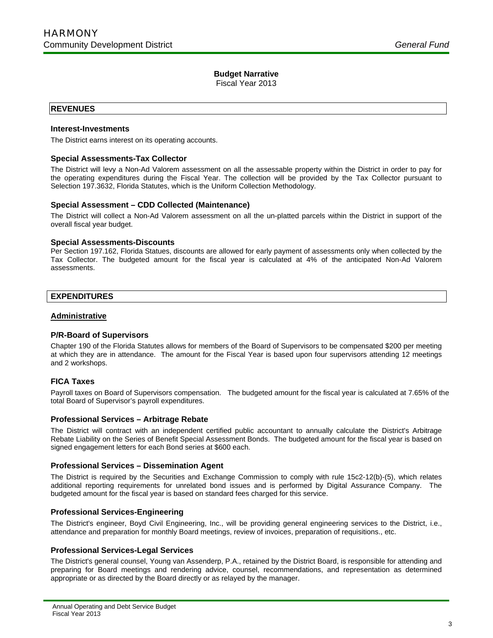Fiscal Year 2013

# **REVENUES**

Ī

## **Interest-Investments**

The District earns interest on its operating accounts.

## **Special Assessments-Tax Collector**

The District will levy a Non-Ad Valorem assessment on all the assessable property within the District in order to pay for the operating expenditures during the Fiscal Year. The collection will be provided by the Tax Collector pursuant to Selection 197.3632, Florida Statutes, which is the Uniform Collection Methodology.

## **Special Assessment – CDD Collected (Maintenance)**

The District will collect a Non-Ad Valorem assessment on all the un-platted parcels within the District in support of the overall fiscal year budget.

### **Special Assessments-Discounts**

Per Section 197.162, Florida Statues, discounts are allowed for early payment of assessments only when collected by the Tax Collector. The budgeted amount for the fiscal year is calculated at 4% of the anticipated Non-Ad Valorem assessments.

# **EXPENDITURES**

## **Administrative**

# **P/R-Board of Supervisors**

Chapter 190 of the Florida Statutes allows for members of the Board of Supervisors to be compensated \$200 per meeting at which they are in attendance. The amount for the Fiscal Year is based upon four supervisors attending 12 meetings and 2 workshops.

# **FICA Taxes**

Payroll taxes on Board of Supervisors compensation. The budgeted amount for the fiscal year is calculated at 7.65% of the total Board of Supervisor's payroll expenditures.

### **Professional Services – Arbitrage Rebate**

The District will contract with an independent certified public accountant to annually calculate the District's Arbitrage Rebate Liability on the Series of Benefit Special Assessment Bonds. The budgeted amount for the fiscal year is based on signed engagement letters for each Bond series at \$600 each.

### **Professional Services – Dissemination Agent**

The District is required by the Securities and Exchange Commission to comply with rule 15c2-12(b)-(5), which relates additional reporting requirements for unrelated bond issues and is performed by Digital Assurance Company. The budgeted amount for the fiscal year is based on standard fees charged for this service.

# **Professional Services-Engineering**

The District's engineer, Boyd Civil Engineering, Inc., will be providing general engineering services to the District, i.e., attendance and preparation for monthly Board meetings, review of invoices, preparation of requisitions., etc.

# **Professional Services-Legal Services**

The District's general counsel, Young van Assenderp, P.A., retained by the District Board, is responsible for attending and preparing for Board meetings and rendering advice, counsel, recommendations, and representation as determined appropriate or as directed by the Board directly or as relayed by the manager.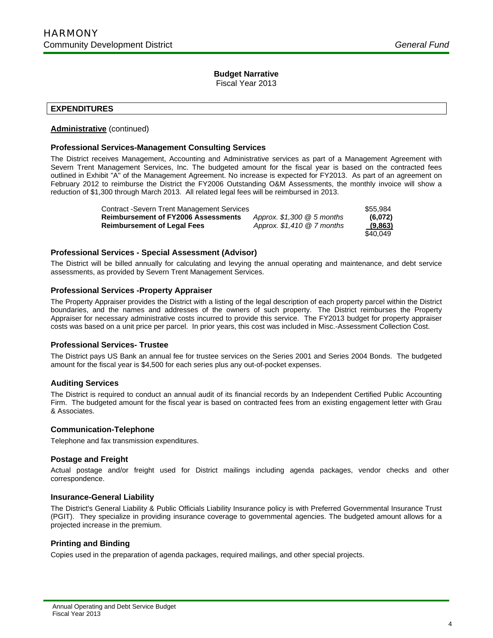Fiscal Year 2013

# **EXPENDITURES**

Ī

# **Administrative** (continued)

# **Professional Services-Management Consulting Services**

The District receives Management, Accounting and Administrative services as part of a Management Agreement with Severn Trent Management Services, Inc. The budgeted amount for the fiscal year is based on the contracted fees outlined in Exhibit "A" of the Management Agreement. No increase is expected for FY2013. As part of an agreement on February 2012 to reimburse the District the FY2006 Outstanding O&M Assessments, the monthly invoice will show a reduction of \$1,300 through March 2013. All related legal fees will be reimbursed in 2013.

| Contract -Severn Trent Management Services |                              | \$55.984 |
|--------------------------------------------|------------------------------|----------|
| <b>Reimbursement of FY2006 Assessments</b> | Approx. $$1,300 \& 5$ months | (6,072)  |
| <b>Reimbursement of Legal Fees</b>         | Approx. $$1,410 \ @7$ months | (9,863)  |
|                                            |                              | \$40.049 |

# **Professional Services - Special Assessment (Advisor)**

The District will be billed annually for calculating and levying the annual operating and maintenance, and debt service assessments, as provided by Severn Trent Management Services.

# **Professional Services -Property Appraiser**

The Property Appraiser provides the District with a listing of the legal description of each property parcel within the District boundaries, and the names and addresses of the owners of such property. The District reimburses the Property Appraiser for necessary administrative costs incurred to provide this service. The FY2013 budget for property appraiser costs was based on a unit price per parcel. In prior years, this cost was included in Misc.-Assessment Collection Cost.

# **Professional Services- Trustee**

The District pays US Bank an annual fee for trustee services on the Series 2001 and Series 2004 Bonds. The budgeted amount for the fiscal year is \$4,500 for each series plus any out-of-pocket expenses.

# **Auditing Services**

The District is required to conduct an annual audit of its financial records by an Independent Certified Public Accounting Firm. The budgeted amount for the fiscal year is based on contracted fees from an existing engagement letter with Grau & Associates.

# **Communication-Telephone**

Telephone and fax transmission expenditures.

# **Postage and Freight**

Actual postage and/or freight used for District mailings including agenda packages, vendor checks and other correspondence.

# **Insurance-General Liability**

The District's General Liability & Public Officials Liability Insurance policy is with Preferred Governmental Insurance Trust (PGIT). They specialize in providing insurance coverage to governmental agencies. The budgeted amount allows for a projected increase in the premium.

# **Printing and Binding**

Copies used in the preparation of agenda packages, required mailings, and other special projects.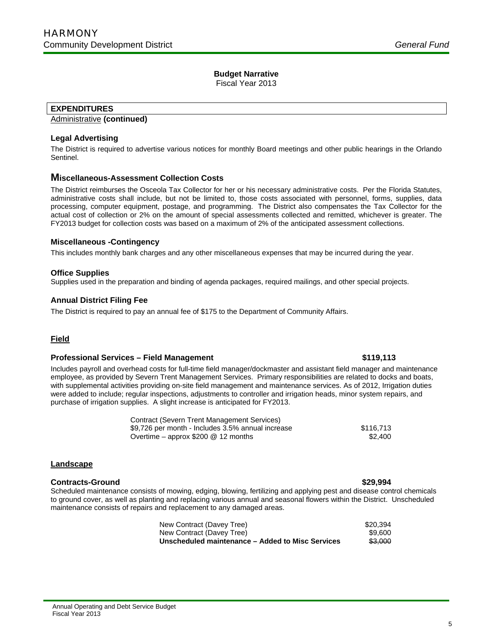Fiscal Year 2013

# **EXPENDITURES**

Ī

# Administrative **(continued)**

# **Legal Advertising**

The District is required to advertise various notices for monthly Board meetings and other public hearings in the Orlando Sentinel.

# **Miscellaneous-Assessment Collection Costs**

The District reimburses the Osceola Tax Collector for her or his necessary administrative costs. Per the Florida Statutes, administrative costs shall include, but not be limited to, those costs associated with personnel, forms, supplies, data processing, computer equipment, postage, and programming. The District also compensates the Tax Collector for the actual cost of collection or 2% on the amount of special assessments collected and remitted, whichever is greater. The FY2013 budget for collection costs was based on a maximum of 2% of the anticipated assessment collections.

# **Miscellaneous -Contingency**

This includes monthly bank charges and any other miscellaneous expenses that may be incurred during the year.

# **Office Supplies**

Supplies used in the preparation and binding of agenda packages, required mailings, and other special projects.

# **Annual District Filing Fee**

The District is required to pay an annual fee of \$175 to the Department of Community Affairs.

# **Field**

# **Professional Services – Field Management \$119,113**

Includes payroll and overhead costs for full-time field manager/dockmaster and assistant field manager and maintenance employee, as provided by Severn Trent Management Services. Primary responsibilities are related to docks and boats, with supplemental activities providing on-site field management and maintenance services. As of 2012, Irrigation duties were added to include; regular inspections, adjustments to controller and irrigation heads, minor system repairs, and purchase of irrigation supplies. A slight increase is anticipated for FY2013.

| Contract (Severn Trent Management Services)       |           |
|---------------------------------------------------|-----------|
| \$9,726 per month - Includes 3.5% annual increase | \$116.713 |
| Overtime – approx $$200 \& 12$ months             | \$2.400   |

# **Landscape**

# **Contracts-Ground \$29,994**

Scheduled maintenance consists of mowing, edging, blowing, fertilizing and applying pest and disease control chemicals to ground cover, as well as planting and replacing various annual and seasonal flowers within the District. Unscheduled maintenance consists of repairs and replacement to any damaged areas.

| New Contract (Davey Tree)                        | \$20.394 |
|--------------------------------------------------|----------|
| New Contract (Davey Tree)                        | \$9.600  |
| Unscheduled maintenance – Added to Misc Services | \$3,000  |

### Annual Operating and Debt Service Budget Fiscal Year 2013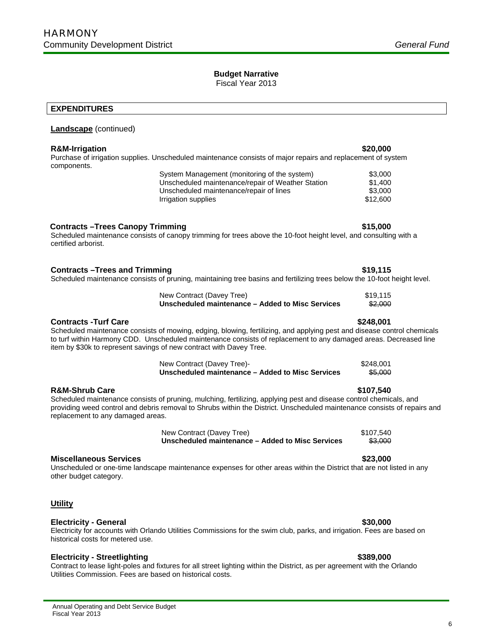Fiscal Year 2013

# **EXPENDITURES**

Ī

# **Landscape** (continued)

# **R&M-Irrigation \$20,000**

Purchase of irrigation supplies. Unscheduled maintenance consists of major repairs and replacement of system components.

| System Management (monitoring of the system)      | \$3.000  |
|---------------------------------------------------|----------|
| Unscheduled maintenance/repair of Weather Station | \$1.400  |
| Unscheduled maintenance/repair of lines           | \$3.000  |
| Irrigation supplies                               | \$12.600 |

# **Contracts –Trees Canopy Trimming 615,000 <b>\$15,000 \$15,000**

Scheduled maintenance consists of canopy trimming for trees above the 10-foot height level, and consulting with a certified arborist.

# **Contracts –Trees and Trimming <b>\$19,115 \$19,115**

# Scheduled maintenance consists of pruning, maintaining tree basins and fertilizing trees below the 10-foot height level.

| New Contract (Davey Tree)                        | \$19.115 |
|--------------------------------------------------|----------|
| Unscheduled maintenance – Added to Misc Services | \$2,000  |

# **Contracts -Turf Care \$248,001**

Scheduled maintenance consists of mowing, edging, blowing, fertilizing, and applying pest and disease control chemicals to turf within Harmony CDD. Unscheduled maintenance consists of replacement to any damaged areas. Decreased line item by \$30k to represent savings of new contract with Davey Tree.

| New Contract (Davey Tree)-                       | \$248.001 |
|--------------------------------------------------|-----------|
| Unscheduled maintenance – Added to Misc Services | \$5,000   |

# **R&M-Shrub Care \$107,540**

Scheduled maintenance consists of pruning, mulching, fertilizing, applying pest and disease control chemicals, and providing weed control and debris removal to Shrubs within the District. Unscheduled maintenance consists of repairs and replacement to any damaged areas.

> New Contract (Davey Tree) \$107,540 **Unscheduled maintenance – Added to Misc Services** \$3,000

### **Miscellaneous Services \$23,000**

Unscheduled or one-time landscape maintenance expenses for other areas within the District that are not listed in any other budget category.

# **Utility**

### **Electricity - General \$30,000**

### Electricity for accounts with Orlando Utilities Commissions for the swim club, parks, and irrigation. Fees are based on historical costs for metered use.

# **Electricity - Streetlighting \$389,000**

Contract to lease light-poles and fixtures for all street lighting within the District, as per agreement with the Orlando Utilities Commission. Fees are based on historical costs.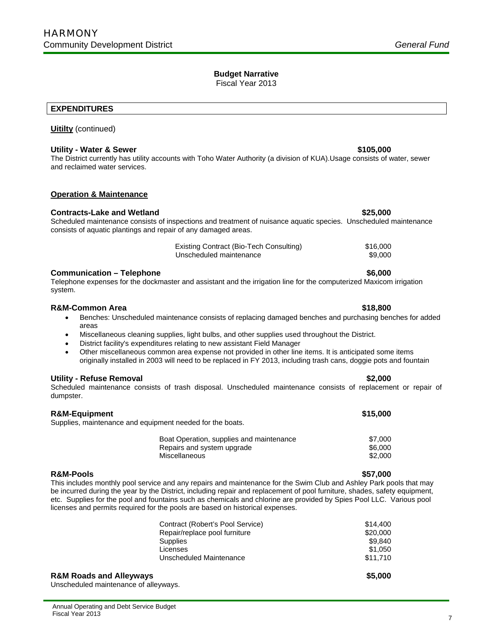Fiscal Year 2013

# **EXPENDITURES**

Ī

# **Uitilty** (continued)

### **Utility - Water & Sewer \$105,000 \$105,000**

The District currently has utility accounts with Toho Water Authority (a division of KUA).Usage consists of water, sewer and reclaimed water services.

# **Operation & Maintenance**

## **Contracts-Lake and Wetland \$25,000**

# Scheduled maintenance consists of inspections and treatment of nuisance aquatic species. Unscheduled maintenance consists of aquatic plantings and repair of any damaged areas.

| Existing Contract (Bio-Tech Consulting) | \$16,000 |
|-----------------------------------------|----------|
| Unscheduled maintenance                 | \$9,000  |

## **Communication – Telephone 6,000 <b>6,000 \$6,000**

Telephone expenses for the dockmaster and assistant and the irrigation line for the computerized Maxicom irrigation system.

### **R&M-Common Area \$18,800**

- Benches: Unscheduled maintenance consists of replacing damaged benches and purchasing benches for added areas
- Miscellaneous cleaning supplies, light bulbs, and other supplies used throughout the District.
- District facility's expenditures relating to new assistant Field Manager
- Other miscellaneous common area expense not provided in other line items. It is anticipated some items originally installed in 2003 will need to be replaced in FY 2013, including trash cans, doggie pots and fountain

### **Utility - Refuse Removal \$2,000**

Scheduled maintenance consists of trash disposal. Unscheduled maintenance consists of replacement or repair of dumpster.

### **R&M-Equipment \$15,000**

Supplies, maintenance and equipment needed for the boats.

| Boat Operation, supplies and maintenance | \$7.000 |
|------------------------------------------|---------|
| Repairs and system upgrade               | \$6.000 |
| Miscellaneous                            | \$2,000 |

### **R&M-Pools \$57,000**

This includes monthly pool service and any repairs and maintenance for the Swim Club and Ashley Park pools that may be incurred during the year by the District, including repair and replacement of pool furniture, shades, safety equipment, etc. Supplies for the pool and fountains such as chemicals and chlorine are provided by Spies Pool LLC. Various pool licenses and permits required for the pools are based on historical expenses.

| Contract (Robert's Pool Service) | \$14,400 |
|----------------------------------|----------|
| Repair/replace pool furniture    | \$20,000 |
| Supplies                         | \$9.840  |
| Licenses                         | \$1,050  |
| Unscheduled Maintenance          | \$11.710 |
|                                  |          |

### **R&M Roads and Alleyways \$5,000**

Unscheduled maintenance of alleyways.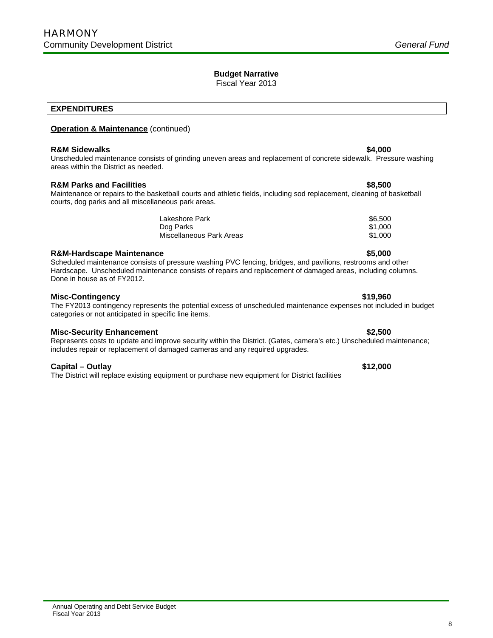Fiscal Year 2013

# **EXPENDITURES**

Ī

# **Operation & Maintenance** (continued)

# **R&M Sidewalks**  $\bullet$  **84,000 64,000 64,000 64,000 64,000 64,000 64,000**

Unscheduled maintenance consists of grinding uneven areas and replacement of concrete sidewalk. Pressure washing areas within the District as needed.

# **R&M Parks and Facilities \$8,500**

Maintenance or repairs to the basketball courts and athletic fields, including sod replacement, cleaning of basketball courts, dog parks and all miscellaneous park areas.

| Lakeshore Park           | \$6,500 |
|--------------------------|---------|
| Dog Parks                | \$1.000 |
| Miscellaneous Park Areas | \$1.000 |

# **R&M-Hardscape Maintenance \$5,000**

Scheduled maintenance consists of pressure washing PVC fencing, bridges, and pavilions, restrooms and other Hardscape. Unscheduled maintenance consists of repairs and replacement of damaged areas, including columns. Done in house as of FY2012.

# **Misc-Contingency \$19,960**

# The FY2013 contingency represents the potential excess of unscheduled maintenance expenses not included in budget categories or not anticipated in specific line items.

# **Misc-Security Enhancement**  $\bullet$  **32,500**

Represents costs to update and improve security within the District. (Gates, camera's etc.) Unscheduled maintenance; includes repair or replacement of damaged cameras and any required upgrades.

# **Capital – Outlay \$12,000**

Fiscal Year 2013

The District will replace existing equipment or purchase new equipment for District facilities

# 8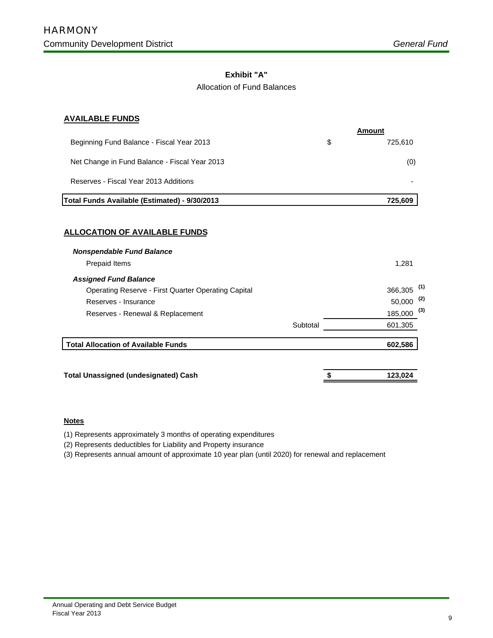# **Exhibit "A"**

# Allocation of Fund Balances

# **AVAILABLE FUNDS**

|                                               | Amount        |
|-----------------------------------------------|---------------|
| Beginning Fund Balance - Fiscal Year 2013     | \$<br>725.610 |
| Net Change in Fund Balance - Fiscal Year 2013 | (0)           |
| Reserves - Fiscal Year 2013 Additions         |               |
| Total Funds Available (Estimated) - 9/30/2013 | 725.609       |

# **ALLOCATION OF AVAILABLE FUNDS**

| <b>Nonspendable Fund Balance</b>                    |          |                              |
|-----------------------------------------------------|----------|------------------------------|
| Prepaid Items                                       |          | 1,281                        |
| <b>Assigned Fund Balance</b>                        |          |                              |
| Operating Reserve - First Quarter Operating Capital |          | (1)<br>366,305               |
| Reserves - Insurance                                |          | (2)<br>50,000                |
| Reserves - Renewal & Replacement                    |          | $\left( 3\right)$<br>185,000 |
|                                                     | Subtotal | 601,305                      |
| <b>Total Allocation of Available Funds</b>          |          | 602,586                      |
|                                                     |          |                              |
| <b>Total Unassigned (undesignated) Cash</b>         |          | 123,024                      |

# **Notes**

(1) Represents approximately 3 months of operating expenditures

(2) Represents deductibles for Liability and Property insurance

(3) Represents annual amount of approximate 10 year plan (until 2020) for renewal and replacement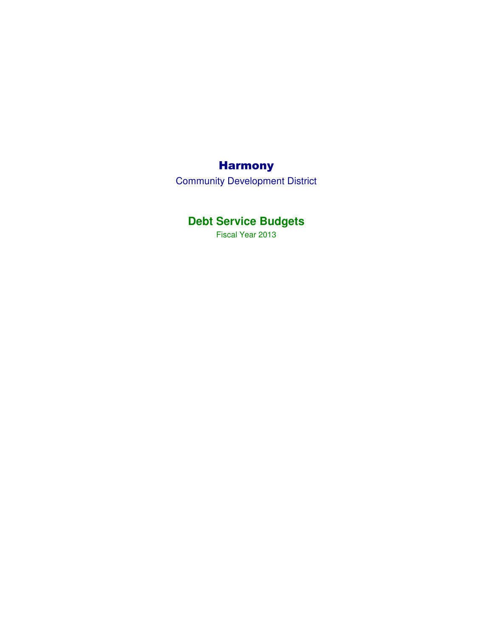# Harmony

Community Development District

# **Debt Service Budgets**

Fiscal Year 2013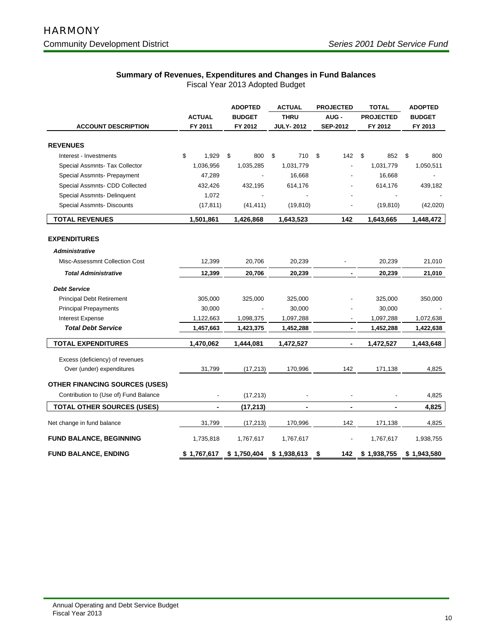# **Summary of Revenues, Expenditures and Changes in Fund Balances**

|                                       |                          | <b>ADOPTED</b> | <b>ACTUAL</b>    | <b>PROJECTED</b> | <b>TOTAL</b>     | <b>ADOPTED</b> |  |
|---------------------------------------|--------------------------|----------------|------------------|------------------|------------------|----------------|--|
|                                       | <b>ACTUAL</b>            | <b>BUDGET</b>  | <b>THRU</b>      | AUG-             | <b>PROJECTED</b> | <b>BUDGET</b>  |  |
| <b>ACCOUNT DESCRIPTION</b>            | FY 2011                  | FY 2012        | <b>JULY-2012</b> | <b>SEP-2012</b>  | FY 2012          | FY 2013        |  |
| <b>REVENUES</b>                       |                          |                |                  |                  |                  |                |  |
| Interest - Investments                | \$<br>1,929              | \$<br>800      | \$<br>710        | \$<br>142        | \$<br>852        | \$<br>800      |  |
| Special Assmnts- Tax Collector        | 1,036,956                | 1,035,285      | 1,031,779        |                  | 1,031,779        | 1,050,511      |  |
| Special Assmnts- Prepayment           | 47,289                   |                | 16,668           |                  | 16,668           |                |  |
| Special Assmnts- CDD Collected        | 432,426                  | 432,195        | 614,176          |                  | 614,176          | 439,182        |  |
| Special Assmnts- Delinquent           | 1,072                    |                |                  |                  |                  |                |  |
| <b>Special Assmnts- Discounts</b>     | (17, 811)                | (41, 411)      | (19, 810)        |                  | (19, 810)        | (42,020)       |  |
| <b>TOTAL REVENUES</b>                 | 1,501,861                | 1,426,868      | 1,643,523        | 142              | 1,643,665        | 1,448,472      |  |
| <b>EXPENDITURES</b>                   |                          |                |                  |                  |                  |                |  |
| <b>Administrative</b>                 |                          |                |                  |                  |                  |                |  |
| Misc-Assessmnt Collection Cost        | 12,399                   | 20,706         | 20,239           |                  | 20,239           | 21,010         |  |
| <b>Total Administrative</b>           | 12,399                   | 20,706         | 20,239           |                  | 20,239           | 21,010         |  |
| <b>Debt Service</b>                   |                          |                |                  |                  |                  |                |  |
| <b>Principal Debt Retirement</b>      | 305,000                  | 325,000        | 325,000          |                  | 325,000          | 350,000        |  |
| <b>Principal Prepayments</b>          | 30,000                   |                | 30,000           |                  | 30,000           |                |  |
| <b>Interest Expense</b>               | 1,122,663                | 1,098,375      | 1,097,288        |                  | 1,097,288        | 1,072,638      |  |
| <b>Total Debt Service</b>             | 1,457,663                | 1,423,375      | 1,452,288        | ٠                | 1,452,288        | 1,422,638      |  |
| <b>TOTAL EXPENDITURES</b>             | 1,470,062                | 1,444,081      | 1,472,527        | $\blacksquare$   | 1,472,527        | 1,443,648      |  |
| Excess (deficiency) of revenues       |                          |                |                  |                  |                  |                |  |
| Over (under) expenditures             | 31,799                   | (17, 213)      | 170,996          | 142              | 171,138          | 4,825          |  |
| <b>OTHER FINANCING SOURCES (USES)</b> |                          |                |                  |                  |                  |                |  |
| Contribution to (Use of) Fund Balance | $\overline{\phantom{a}}$ | (17, 213)      |                  | $\blacksquare$   |                  | 4,825          |  |
| <b>TOTAL OTHER SOURCES (USES)</b>     | $\blacksquare$           | (17, 213)      |                  | $\blacksquare$   | $\blacksquare$   | 4,825          |  |
| Net change in fund balance            | 31,799                   | (17, 213)      | 170,996          | 142              | 171,138          | 4,825          |  |
| <b>FUND BALANCE, BEGINNING</b>        | 1,735,818                | 1,767,617      | 1,767,617        |                  | 1,767,617        | 1,938,755      |  |
| <b>FUND BALANCE, ENDING</b>           | \$1,767,617              | \$1,750,404    | \$1,938,613      | \$<br>142        | \$1,938,755      | \$1,943,580    |  |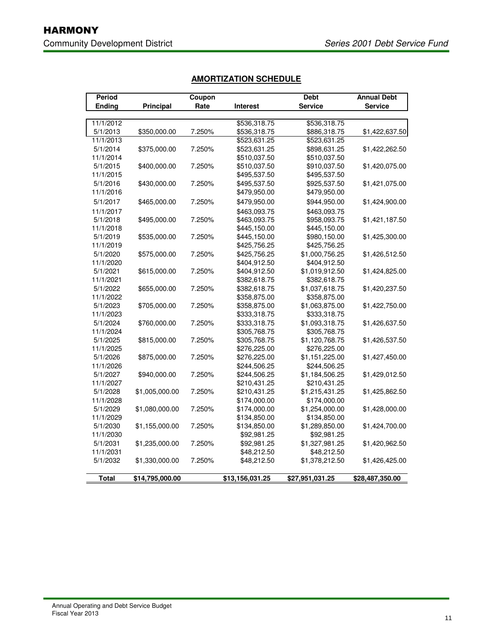| Period        |                  | Coupon |                 | <b>Debt</b>     | <b>Annual Debt</b> |
|---------------|------------------|--------|-----------------|-----------------|--------------------|
| <b>Ending</b> | <b>Principal</b> | Rate   | <b>Interest</b> | <b>Service</b>  | <b>Service</b>     |
|               |                  |        |                 |                 |                    |
| 11/1/2012     |                  |        | \$536,318.75    | \$536,318.75    |                    |
| 5/1/2013      | \$350,000.00     | 7.250% | \$536,318.75    | \$886,318.75    | \$1,422,637.50     |
| 11/1/2013     |                  |        | \$523,631.25    | \$523,631.25    |                    |
| 5/1/2014      | \$375,000.00     | 7.250% | \$523,631.25    | \$898,631.25    | \$1,422,262.50     |
| 11/1/2014     |                  |        | \$510,037.50    | \$510,037.50    |                    |
| 5/1/2015      | \$400,000.00     | 7.250% | \$510,037.50    | \$910,037.50    | \$1,420,075.00     |
| 11/1/2015     |                  |        | \$495,537.50    | \$495,537.50    |                    |
| 5/1/2016      | \$430,000.00     | 7.250% | \$495,537.50    | \$925,537.50    | \$1,421,075.00     |
| 11/1/2016     |                  |        | \$479,950.00    | \$479,950.00    |                    |
| 5/1/2017      | \$465,000.00     | 7.250% | \$479,950.00    | \$944,950.00    | \$1,424,900.00     |
| 11/1/2017     |                  |        | \$463,093.75    | \$463,093.75    |                    |
| 5/1/2018      | \$495,000.00     | 7.250% | \$463,093.75    | \$958,093.75    | \$1,421,187.50     |
| 11/1/2018     |                  |        | \$445,150.00    | \$445,150.00    |                    |
| 5/1/2019      | \$535,000.00     | 7.250% | \$445,150.00    | \$980,150.00    | \$1,425,300.00     |
| 11/1/2019     |                  |        | \$425,756.25    | \$425,756.25    |                    |
| 5/1/2020      | \$575,000.00     | 7.250% | \$425,756.25    | \$1,000,756.25  | \$1,426,512.50     |
| 11/1/2020     |                  |        | \$404,912.50    | \$404,912.50    |                    |
| 5/1/2021      | \$615,000.00     | 7.250% | \$404,912.50    | \$1,019,912.50  | \$1,424,825.00     |
| 11/1/2021     |                  |        | \$382,618.75    | \$382,618.75    |                    |
| 5/1/2022      | \$655,000.00     | 7.250% | \$382,618.75    | \$1,037,618.75  | \$1,420,237.50     |
| 11/1/2022     |                  |        | \$358,875.00    | \$358,875.00    |                    |
| 5/1/2023      | \$705,000.00     | 7.250% | \$358,875.00    | \$1,063,875.00  | \$1,422,750.00     |
| 11/1/2023     |                  |        | \$333,318.75    | \$333,318.75    |                    |
| 5/1/2024      | \$760,000.00     | 7.250% | \$333,318.75    | \$1,093,318.75  | \$1,426,637.50     |
| 11/1/2024     |                  |        | \$305,768.75    | \$305,768.75    |                    |
| 5/1/2025      | \$815,000.00     | 7.250% | \$305,768.75    | \$1,120,768.75  | \$1,426,537.50     |
| 11/1/2025     |                  |        | \$276,225.00    | \$276,225.00    |                    |
| 5/1/2026      | \$875,000.00     | 7.250% | \$276,225.00    | \$1,151,225.00  | \$1,427,450.00     |
| 11/1/2026     |                  |        | \$244,506.25    | \$244,506.25    |                    |
| 5/1/2027      | \$940,000.00     | 7.250% | \$244,506.25    | \$1,184,506.25  | \$1,429,012.50     |
| 11/1/2027     |                  |        | \$210,431.25    | \$210,431.25    |                    |
| 5/1/2028      | \$1,005,000.00   | 7.250% | \$210,431.25    | \$1,215,431.25  | \$1,425,862.50     |
| 11/1/2028     |                  |        | \$174,000.00    | \$174,000.00    |                    |
| 5/1/2029      | \$1,080,000.00   | 7.250% | \$174,000.00    | \$1,254,000.00  | \$1,428,000.00     |
| 11/1/2029     |                  |        | \$134,850.00    | \$134,850.00    |                    |
| 5/1/2030      | \$1,155,000.00   | 7.250% | \$134,850.00    | \$1,289,850.00  | \$1,424,700.00     |
| 11/1/2030     |                  |        | \$92,981.25     | \$92,981.25     |                    |
| 5/1/2031      | \$1,235,000.00   | 7.250% | \$92,981.25     | \$1,327,981.25  | \$1,420,962.50     |
| 11/1/2031     |                  |        | \$48,212.50     | \$48,212.50     |                    |
| 5/1/2032      | \$1,330,000.00   | 7.250% | \$48,212.50     | \$1,378,212.50  | \$1,426,425.00     |
| <b>Total</b>  | \$14,795,000.00  |        | \$13,156,031.25 | \$27,951,031.25 | \$28,487,350.00    |

# **AMORTIZATION SCHEDULE**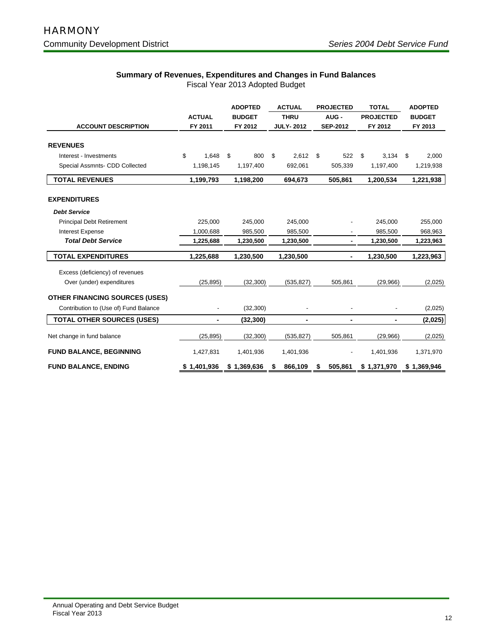# **Summary of Revenues, Expenditures and Changes in Fund Balances**

|                                       |               | <b>ADOPTED</b>           |               | <b>ACTUAL</b> |                  |         | <b>PROJECTED</b> |           | <b>TOTAL</b>     | <b>ADOPTED</b> |  |
|---------------------------------------|---------------|--------------------------|---------------|---------------|------------------|---------|------------------|-----------|------------------|----------------|--|
|                                       | <b>ACTUAL</b> |                          | <b>BUDGET</b> |               | <b>THRU</b>      |         | AUG-             |           | <b>PROJECTED</b> | <b>BUDGET</b>  |  |
| <b>ACCOUNT DESCRIPTION</b>            | FY 2011       |                          | FY 2012       |               | <b>JULY-2012</b> |         | <b>SEP-2012</b>  |           | FY 2012          | FY 2013        |  |
|                                       |               |                          |               |               |                  |         |                  |           |                  |                |  |
| <b>REVENUES</b>                       |               |                          |               |               |                  |         |                  |           |                  |                |  |
| Interest - Investments                | \$<br>1.648   | \$                       | 800           | \$            | 2.612            | \$      | 522              | \$        | 3,134            | \$<br>2,000    |  |
| Special Assmnts- CDD Collected        | 1,198,145     |                          | 1,197,400     |               | 692,061          |         | 505,339          |           | 1,197,400        | 1,219,938      |  |
| <b>TOTAL REVENUES</b>                 | 1,199,793     |                          | 1,198,200     |               | 694,673          |         | 505,861          |           | 1,200,534        | 1,221,938      |  |
| <b>EXPENDITURES</b>                   |               |                          |               |               |                  |         |                  |           |                  |                |  |
| <b>Debt Service</b>                   |               |                          |               |               |                  |         |                  |           |                  |                |  |
| <b>Principal Debt Retirement</b>      | 225,000       |                          | 245,000       |               | 245,000          |         |                  | 245,000   |                  | 255,000        |  |
| <b>Interest Expense</b>               | 1,000,688     |                          | 985,500       |               | 985,500          |         |                  |           | 985,500          | 968,963        |  |
| <b>Total Debt Service</b>             | 1,225,688     |                          | 1,230,500     |               | 1,230,500        |         |                  | 1,230,500 |                  | 1,223,963      |  |
| <b>TOTAL EXPENDITURES</b>             | 1,225,688     |                          | 1,230,500     |               | 1,230,500        |         |                  | 1,230,500 |                  | 1,223,963      |  |
| Excess (deficiency) of revenues       |               |                          |               |               |                  |         |                  |           |                  |                |  |
| Over (under) expenditures             | (25, 895)     |                          | (32, 300)     |               | (535, 827)       | 505,861 |                  | (29,966)  |                  | (2,025)        |  |
| <b>OTHER FINANCING SOURCES (USES)</b> |               |                          |               |               |                  |         |                  |           |                  |                |  |
| Contribution to (Use of) Fund Balance |               | $\overline{\phantom{a}}$ | (32, 300)     |               |                  |         |                  |           |                  | (2,025)        |  |
| <b>TOTAL OTHER SOURCES (USES)</b>     |               | -                        | (32, 300)     |               |                  |         | ۰                |           | ٠                | (2,025)        |  |
| Net change in fund balance            | (25, 895)     |                          | (32, 300)     |               | (535, 827)       |         | 505,861          |           | (29,966)         | (2,025)        |  |
| <b>FUND BALANCE, BEGINNING</b>        | 1,427,831     | 1,401,936                |               | 1,401,936     |                  |         |                  | 1,401,936 | 1,371,970        |                |  |
| <b>FUND BALANCE, ENDING</b>           | \$1,401,936   |                          | \$1,369,636   | \$            | 866,109<br>S     |         | 505,861          |           | \$1,371,970      | \$1,369,946    |  |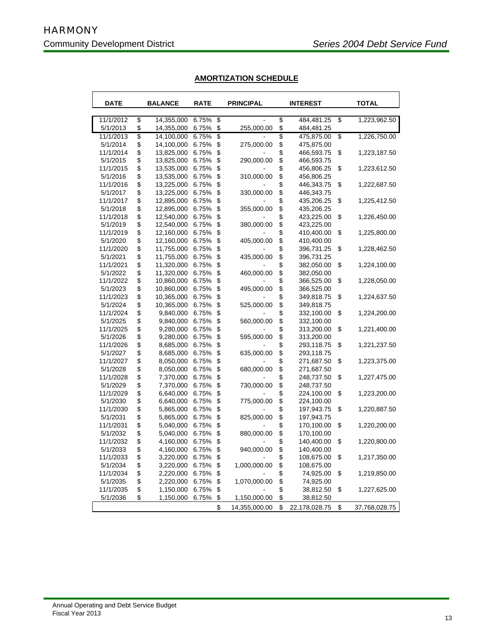**r** 

|  | <b>AMORTIZATION SCHEDULE</b> |  |
|--|------------------------------|--|
|  |                              |  |

| <b>DATE</b> | <b>BALANCE</b>   | <b>RATE</b> |                          | <b>PRINCIPAL</b> | <b>INTEREST</b> |               |    | <b>TOTAL</b>  |
|-------------|------------------|-------------|--------------------------|------------------|-----------------|---------------|----|---------------|
| 11/1/2012   | \$<br>14,355,000 | 6.75%       | $\overline{\mathcal{S}}$ |                  | \$              | 484,481.25    | \$ | 1,223,962.50  |
| 5/1/2013    | \$<br>14,355,000 | 6.75%       | \$                       | 255,000.00       | \$              | 484,481.25    |    |               |
| 11/1/2013   | \$<br>14,100,000 | 6.75%       | \$                       |                  | \$              | 475,875.00    | \$ | 1,226,750.00  |
| 5/1/2014    | \$<br>14,100,000 | 6.75%       | \$                       | 275,000.00       | \$              | 475,875.00    |    |               |
| 11/1/2014   | \$<br>13,825,000 | 6.75%       | \$                       |                  | \$              | 466,593.75    | \$ | 1,223,187.50  |
| 5/1/2015    | \$<br>13,825,000 | 6.75%       | \$                       | 290,000.00       | \$              | 466,593.75    |    |               |
| 11/1/2015   | \$<br>13,535,000 | 6.75%       | \$                       |                  | \$              | 456,806.25    | \$ | 1,223,612.50  |
| 5/1/2016    | \$<br>13,535,000 | 6.75%       | \$                       | 310,000.00       | \$              | 456,806.25    |    |               |
| 11/1/2016   | \$<br>13,225,000 | 6.75%       | \$                       |                  | \$              | 446,343.75    | \$ | 1,222,687.50  |
| 5/1/2017    | \$<br>13,225,000 | 6.75%       | \$                       | 330,000.00       | \$              | 446,343.75    |    |               |
| 11/1/2017   | \$<br>12,895,000 | 6.75%       | \$                       |                  | \$              | 435,206.25    | \$ | 1,225,412.50  |
| 5/1/2018    | \$<br>12,895,000 | 6.75%       | \$                       | 355,000.00       | \$              | 435,206.25    |    |               |
| 11/1/2018   | \$<br>12,540,000 | 6.75%       | \$                       |                  | \$              | 423,225.00    | \$ | 1,226,450.00  |
| 5/1/2019    | \$<br>12,540,000 | 6.75%       | \$                       | 380,000.00       | \$              | 423,225.00    |    |               |
| 11/1/2019   | \$<br>12,160,000 | 6.75%       | \$                       |                  | \$              | 410,400.00    | \$ | 1,225,800.00  |
| 5/1/2020    | \$<br>12,160,000 | 6.75%       | \$                       | 405,000.00       | \$              | 410,400.00    |    |               |
| 11/1/2020   | \$<br>11,755,000 | 6.75%       | \$                       |                  | \$              | 396,731.25    | \$ | 1,228,462.50  |
| 5/1/2021    | \$<br>11,755,000 | 6.75%       | \$                       | 435,000.00       | \$              | 396,731.25    |    |               |
| 11/1/2021   | \$<br>11,320,000 | 6.75%       | \$                       |                  | \$              | 382,050.00    | \$ | 1,224,100.00  |
| 5/1/2022    | \$<br>11,320,000 | 6.75%       | \$                       | 460,000.00       | \$              | 382,050.00    |    |               |
| 11/1/2022   | \$<br>10,860,000 | 6.75%       | \$                       |                  | \$              | 366,525.00    | \$ | 1,228,050.00  |
| 5/1/2023    | \$<br>10,860,000 | 6.75%       | \$                       | 495,000.00       | \$              | 366,525.00    |    |               |
| 11/1/2023   | \$<br>10,365,000 | 6.75%       | \$                       |                  | \$              | 349,818.75    | \$ | 1,224,637.50  |
| 5/1/2024    | \$<br>10,365,000 | 6.75%       | \$                       | 525,000.00       | \$              | 349,818.75    |    |               |
| 11/1/2024   | \$<br>9,840,000  | 6.75%       | \$                       |                  | \$              | 332,100.00    | \$ | 1,224,200.00  |
| 5/1/2025    | \$<br>9,840,000  | 6.75%       | \$                       | 560,000.00       | \$              | 332,100.00    |    |               |
| 11/1/2025   | \$<br>9,280,000  | 6.75%       | \$                       |                  | \$              | 313,200.00    | \$ | 1,221,400.00  |
| 5/1/2026    | \$<br>9,280,000  | 6.75%       | \$                       | 595,000.00       | \$              | 313,200.00    |    |               |
| 11/1/2026   | \$<br>8,685,000  | 6.75%       | \$                       |                  | \$              | 293,118.75    | \$ | 1,221,237.50  |
| 5/1/2027    | \$<br>8,685,000  | 6.75%       | \$                       | 635,000.00       | \$              | 293,118.75    |    |               |
| 11/1/2027   | \$<br>8,050,000  | 6.75%       | \$                       |                  | \$              | 271,687.50    | \$ | 1,223,375.00  |
| 5/1/2028    | \$<br>8,050,000  | 6.75%       | \$                       | 680,000.00       | \$              | 271,687.50    |    |               |
| 11/1/2028   | \$<br>7,370,000  | 6.75%       | \$                       |                  | \$              | 248,737.50    | \$ | 1,227,475.00  |
| 5/1/2029    | \$<br>7,370,000  | 6.75%       | \$                       | 730,000.00       | \$              | 248,737.50    |    |               |
| 11/1/2029   | \$<br>6,640,000  | 6.75%       | \$                       |                  | \$              | 224,100.00    | \$ | 1,223,200.00  |
| 5/1/2030    | \$<br>6,640,000  | 6.75%       | \$                       | 775,000.00       | \$              | 224,100.00    |    |               |
| 11/1/2030   | \$<br>5,865,000  | 6.75%       | \$                       |                  | \$              | 197,943.75    | \$ | 1,220,887.50  |
| 5/1/2031    | \$<br>5,865,000  | 6.75%       | \$                       | 825,000.00       | \$              | 197,943.75    |    |               |
| 11/1/2031   | \$<br>5,040,000  | 6.75%       | \$                       |                  | \$              | 170,100.00    | \$ | 1,220,200.00  |
| 5/1/2032    | \$<br>5,040,000  | 6.75%       | \$                       | 880,000.00       | \$              | 170,100.00    |    |               |
| 11/1/2032   | \$<br>4,160,000  | 6.75%       | \$                       |                  | \$              | 140,400.00    | \$ | 1,220,800.00  |
| 5/1/2033    | \$<br>4,160,000  | 6.75%       | \$                       | 940,000.00       | \$              | 140,400.00    |    |               |
| 11/1/2033   | \$<br>3,220,000  | 6.75%       | \$                       |                  | \$              | 108,675.00    | \$ | 1,217,350.00  |
| 5/1/2034    | \$<br>3,220,000  | 6.75%       | \$                       | 1,000,000.00     | \$              | 108,675.00    |    |               |
| 11/1/2034   | \$<br>2,220,000  | 6.75%       | \$                       |                  | \$              | 74,925.00     | \$ | 1,219,850.00  |
| 5/1/2035    | \$<br>2,220,000  | 6.75%       | \$                       | 1,070,000.00     | \$              | 74,925.00     |    |               |
| 11/1/2035   | \$<br>1,150,000  | 6.75%       | \$                       |                  | \$              | 38,812.50     | \$ | 1,227,625.00  |
| 5/1/2036    | \$<br>1,150,000  | 6.75%       | \$                       | 1,150,000.00     | \$              | 38,812.50     |    |               |
|             |                  |             | \$                       | 14,355,000.00    | \$              | 22,178,028.75 | \$ | 37,768,028.75 |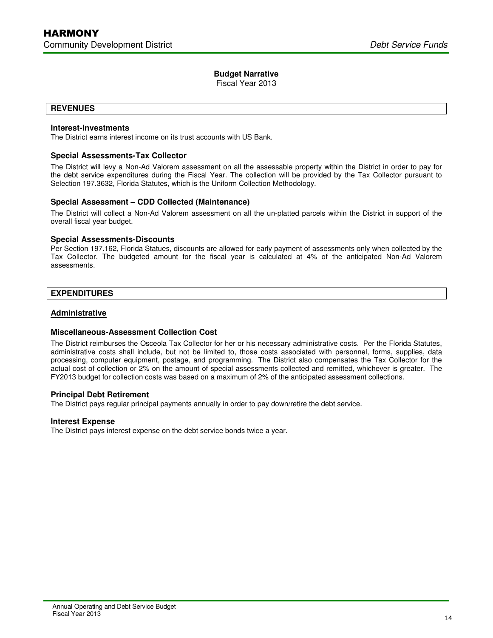Fiscal Year 2013

# **REVENUES**

I

# **Interest-Investments**

The District earns interest income on its trust accounts with US Bank.

# **Special Assessments-Tax Collector**

The District will levy a Non-Ad Valorem assessment on all the assessable property within the District in order to pay for the debt service expenditures during the Fiscal Year. The collection will be provided by the Tax Collector pursuant to Selection 197.3632, Florida Statutes, which is the Uniform Collection Methodology.

# **Special Assessment – CDD Collected (Maintenance)**

The District will collect a Non-Ad Valorem assessment on all the un-platted parcels within the District in support of the overall fiscal year budget.

## **Special Assessments-Discounts**

Per Section 197.162, Florida Statues, discounts are allowed for early payment of assessments only when collected by the Tax Collector. The budgeted amount for the fiscal year is calculated at 4% of the anticipated Non-Ad Valorem assessments.

# **EXPENDITURES**

# **Administrative**

# **Miscellaneous-Assessment Collection Cost**

The District reimburses the Osceola Tax Collector for her or his necessary administrative costs. Per the Florida Statutes, administrative costs shall include, but not be limited to, those costs associated with personnel, forms, supplies, data processing, computer equipment, postage, and programming. The District also compensates the Tax Collector for the actual cost of collection or 2% on the amount of special assessments collected and remitted, whichever is greater. The FY2013 budget for collection costs was based on a maximum of 2% of the anticipated assessment collections.

# **Principal Debt Retirement**

The District pays regular principal payments annually in order to pay down/retire the debt service.

### **Interest Expense**

The District pays interest expense on the debt service bonds twice a year.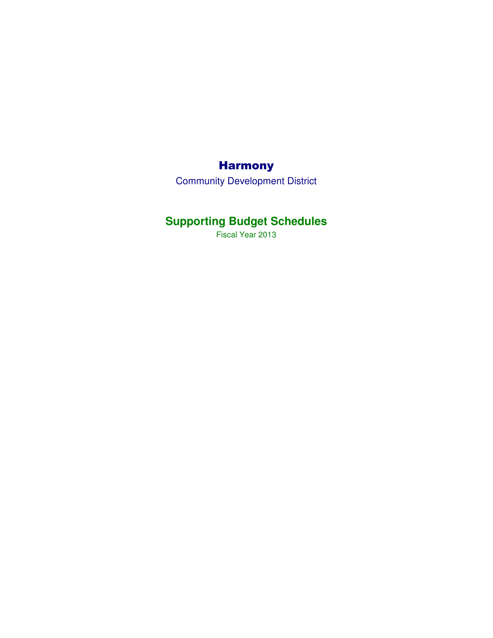# **Harmony**

Community Development District

# **Supporting Budget Schedules**

Fiscal Year 2013